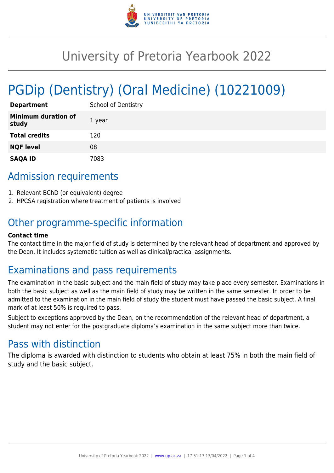

# University of Pretoria Yearbook 2022

# PGDip (Dentistry) (Oral Medicine) (10221009)

| <b>Department</b>                   | <b>School of Dentistry</b> |
|-------------------------------------|----------------------------|
| <b>Minimum duration of</b><br>study | 1 year                     |
| <b>Total credits</b>                | 120                        |
| <b>NQF level</b>                    | 08                         |
| <b>SAQA ID</b>                      | 7083                       |

# Admission requirements

- 1. Relevant BChD (or equivalent) degree
- 2. HPCSA registration where treatment of patients is involved

# Other programme-specific information

#### **Contact time**

The contact time in the major field of study is determined by the relevant head of department and approved by the Dean. It includes systematic tuition as well as clinical/practical assignments.

# Examinations and pass requirements

The examination in the basic subject and the main field of study may take place every semester. Examinations in both the basic subject as well as the main field of study may be written in the same semester. In order to be admitted to the examination in the main field of study the student must have passed the basic subject. A final mark of at least 50% is required to pass.

Subject to exceptions approved by the Dean, on the recommendation of the relevant head of department, a student may not enter for the postgraduate diploma's examination in the same subject more than twice.

# Pass with distinction

The diploma is awarded with distinction to students who obtain at least 75% in both the main field of study and the basic subject.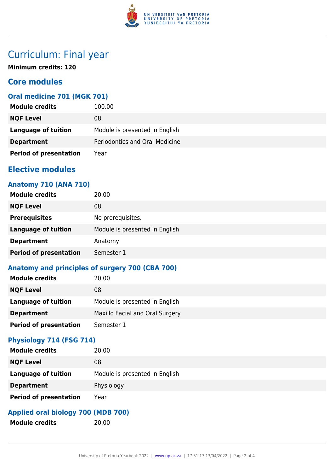

# Curriculum: Final year

**Minimum credits: 120**

## **Core modules**

## **Oral medicine 701 (MGK 701)**

| <b>Module credits</b>         | 100.00                         |
|-------------------------------|--------------------------------|
| <b>NQF Level</b>              | 08                             |
| Language of tuition           | Module is presented in English |
| <b>Department</b>             | Periodontics and Oral Medicine |
| <b>Period of presentation</b> | Year                           |

## **Elective modules**

### **Anatomy 710 (ANA 710)**

| <b>Module credits</b>         | 20.00                          |
|-------------------------------|--------------------------------|
| <b>NQF Level</b>              | 08                             |
| <b>Prerequisites</b>          | No prerequisites.              |
| <b>Language of tuition</b>    | Module is presented in English |
| <b>Department</b>             | Anatomy                        |
| <b>Period of presentation</b> | Semester 1                     |

## **Anatomy and principles of surgery 700 (CBA 700)**

| <b>Module credits</b>         | 20.00                           |
|-------------------------------|---------------------------------|
| <b>NQF Level</b>              | 08                              |
| <b>Language of tuition</b>    | Module is presented in English  |
| <b>Department</b>             | Maxillo Facial and Oral Surgery |
| <b>Period of presentation</b> | Semester 1                      |

#### **Physiology 714 (FSG 714)**

| <b>Module credits</b>         | 20.00                          |
|-------------------------------|--------------------------------|
| <b>NQF Level</b>              | 08                             |
| <b>Language of tuition</b>    | Module is presented in English |
| <b>Department</b>             | Physiology                     |
| <b>Period of presentation</b> | Year                           |

## **Applied oral biology 700 (MDB 700)**

**Module credits** 20.00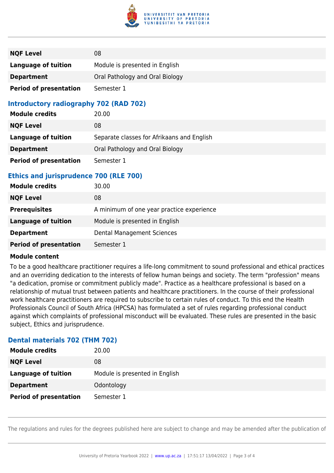

| <b>NQF Level</b>              | 08                              |
|-------------------------------|---------------------------------|
| <b>Language of tuition</b>    | Module is presented in English  |
| <b>Department</b>             | Oral Pathology and Oral Biology |
| <b>Period of presentation</b> | Semester 1                      |

### **Introductory radiography 702 (RAD 702)**

| <b>Module credits</b>         | 20.00                                      |
|-------------------------------|--------------------------------------------|
| <b>NQF Level</b>              | 08                                         |
| <b>Language of tuition</b>    | Separate classes for Afrikaans and English |
| <b>Department</b>             | Oral Pathology and Oral Biology            |
| <b>Period of presentation</b> | Semester 1                                 |

### **Ethics and jurisprudence 700 (RLE 700)**

| <b>Module credits</b>         | 30.00                                     |
|-------------------------------|-------------------------------------------|
| <b>NQF Level</b>              | 08                                        |
| <b>Prerequisites</b>          | A minimum of one year practice experience |
| Language of tuition           | Module is presented in English            |
| <b>Department</b>             | Dental Management Sciences                |
| <b>Period of presentation</b> | Semester 1                                |

#### **Module content**

To be a good healthcare practitioner requires a life-long commitment to sound professional and ethical practices and an overriding dedication to the interests of fellow human beings and society. The term "profession" means "a dedication, promise or commitment publicly made". Practice as a healthcare professional is based on a relationship of mutual trust between patients and healthcare practitioners. In the course of their professional work healthcare practitioners are required to subscribe to certain rules of conduct. To this end the Health Professionals Council of South Africa (HPCSA) has formulated a set of rules regarding professional conduct against which complaints of professional misconduct will be evaluated. These rules are presented in the basic subject, Ethics and jurisprudence.

#### **Dental materials 702 (THM 702)**

| <b>Module credits</b>         | 20.00                          |
|-------------------------------|--------------------------------|
| <b>NQF Level</b>              | 08                             |
| <b>Language of tuition</b>    | Module is presented in English |
| <b>Department</b>             | Odontology                     |
| <b>Period of presentation</b> | Semester 1                     |

The regulations and rules for the degrees published here are subject to change and may be amended after the publication of